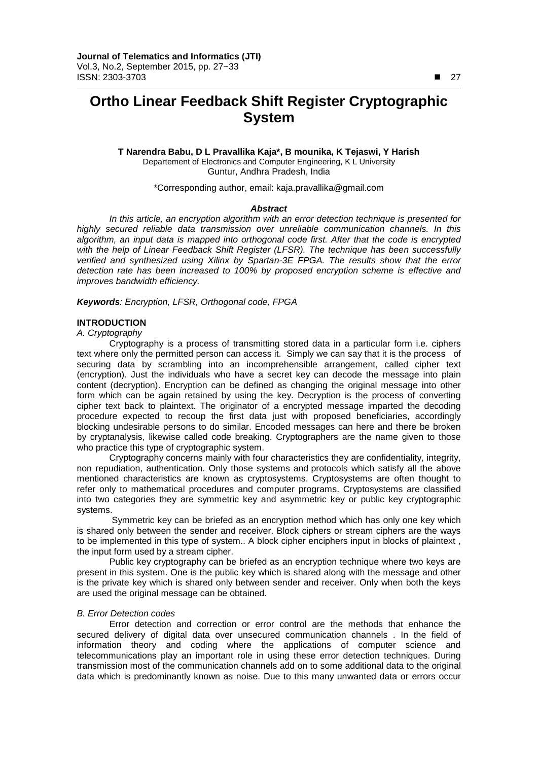## **Ortho Linear Feedback Shift Register Cryptographic System**

**T Narendra Babu, D L Pravallika Kaja\*, B mounika, K Tejaswi, Y Harish**  Departement of Electronics and Computer Engineering, K L University Guntur, Andhra Pradesh, India

\*Corresponding author, email: kaja.pravallika@gmail.com

#### *Abstract*

*In this article, an encryption algorithm with an error detection technique is presented for highly secured reliable data transmission over unreliable communication channels. In this algorithm, an input data is mapped into orthogonal code first. After that the code is encrypted with the help of Linear Feedback Shift Register (LFSR). The technique has been successfully verified and synthesized using Xilinx by Spartan-3E FPGA. The results show that the error detection rate has been increased to 100% by proposed encryption scheme is effective and improves bandwidth efficiency.*

*Keywords: Encryption, LFSR, Orthogonal code, FPGA*

#### **INTRODUCTION**

*A. Cryptography*

Cryptography is a process of transmitting stored data in a particular form i.e. ciphers text where only the permitted person can access it. Simply we can say that it is the process of securing data by scrambling into an incomprehensible arrangement, called cipher text (encryption). Just the individuals who have a secret key can decode the message into plain content (decryption). Encryption can be defined as changing the original message into other form which can be again retained by using the key. Decryption is the process of converting cipher text back to plaintext. The originator of a encrypted message imparted the decoding procedure expected to recoup the first data just with proposed beneficiaries, accordingly blocking undesirable persons to do similar. Encoded messages can here and there be broken by cryptanalysis, likewise called code breaking. Cryptographers are the name given to those who practice this type of cryptographic system.

Cryptography concerns mainly with four characteristics they are confidentiality, integrity, non repudiation, authentication. Only those systems and protocols which satisfy all the above mentioned characteristics are known as cryptosystems. Cryptosystems are often thought to refer only to mathematical procedures and computer programs. Cryptosystems are classified into two categories they are symmetric key and asymmetric key or public key cryptographic systems.

Symmetric key can be briefed as an encryption method which has only one key which is shared only between the sender and receiver. Block ciphers or stream ciphers are the ways to be implemented in this type of system.. A block cipher enciphers input in blocks of plaintext , the input form used by a stream cipher.

Public key cryptography can be briefed as an encryption technique where two keys are present in this system. One is the public key which is shared along with the message and other is the private key which is shared only between sender and receiver. Only when both the keys are used the original message can be obtained.

#### *B. Error Detection codes*

Error detection and correction or error control are the methods that enhance the secured delivery of digital data over unsecured communication channels . In the field of information theory and coding where the applications of computer science and telecommunications play an important role in using these error detection techniques. During transmission most of the communication channels add on to some additional data to the original data which is predominantly known as noise. Due to this many unwanted data or errors occur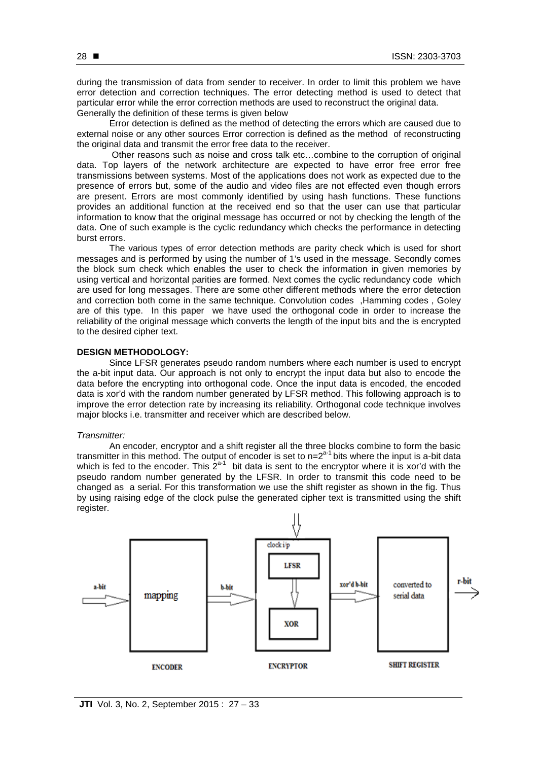during the transmission of data from sender to receiver. In order to limit this problem we have error detection and correction techniques. The error detecting method is used to detect that particular error while the error correction methods are used to reconstruct the original data. Generally the definition of these terms is given below

Error detection is defined as the method of detecting the errors which are caused due to external noise or any other sources Error correction is defined as the method of reconstructing the original data and transmit the error free data to the receiver.

Other reasons such as noise and cross talk etc…combine to the corruption of original data. Top layers of the network architecture are expected to have error free error free transmissions between systems. Most of the applications does not work as expected due to the presence of errors but, some of the audio and video files are not effected even though errors are present. Errors are most commonly identified by using hash functions. These functions provides an additional function at the received end so that the user can use that particular information to know that the original message has occurred or not by checking the length of the data. One of such example is the cyclic redundancy which checks the performance in detecting burst errors.

The various types of error detection methods are parity check which is used for short messages and is performed by using the number of 1's used in the message. Secondly comes the block sum check which enables the user to check the information in given memories by using vertical and horizontal parities are formed. Next comes the cyclic redundancy code which are used for long messages. There are some other different methods where the error detection and correction both come in the same technique. Convolution codes ,Hamming codes , Goley are of this type. In this paper we have used the orthogonal code in order to increase the reliability of the original message which converts the length of the input bits and the is encrypted to the desired cipher text.

#### **DESIGN METHODOLOGY:**

Since LFSR generates pseudo random numbers where each number is used to encrypt the a-bit input data. Our approach is not only to encrypt the input data but also to encode the data before the encrypting into orthogonal code. Once the input data is encoded, the encoded data is xor'd with the random number generated by LFSR method. This following approach is to improve the error detection rate by increasing its reliability. Orthogonal code technique involves major blocks i.e. transmitter and receiver which are described below.

#### *Transmitter:*

An encoder, encryptor and a shift register all the three blocks combine to form the basic transmitter in this method. The output of encoder is set to  $n=2<sup>a-1</sup>$  bits where the input is a-bit data which is fed to the encoder. This  $2^{a-1}$  bit data is sent to the encryptor where it is xor'd with the pseudo random number generated by the LFSR. In order to transmit this code need to be changed as a serial. For this transformation we use the shift register as shown in the fig. Thus by using raising edge of the clock pulse the generated cipher text is transmitted using the shift register.

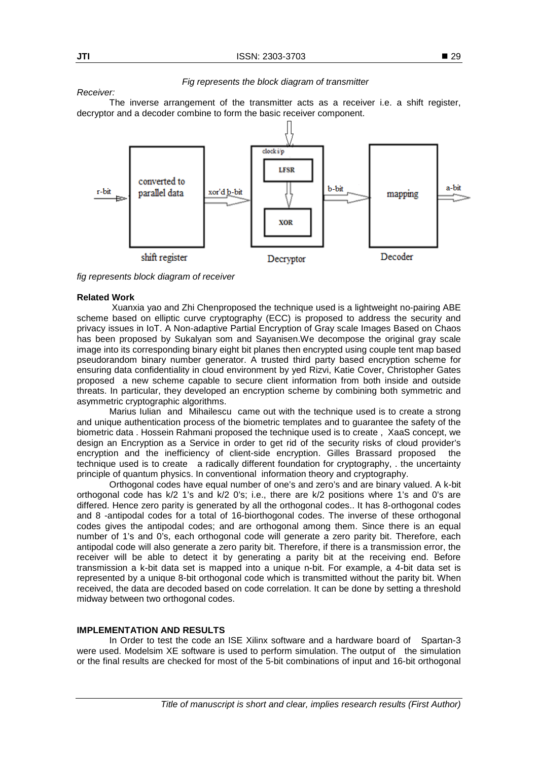#### *Fig represents the block diagram of transmitter*

The inverse arrangement of the transmitter acts as a receiver i.e. a shift register, decryptor and a decoder combine to form the basic receiver component.



*fig represents block diagram of receiver*

#### **Related Work**

Xuanxia yao and Zhi Chenproposed the technique used is a lightweight no-pairing ABE scheme based on elliptic curve cryptography (ECC) is proposed to address the security and privacy issues in IoT. A Non-adaptive Partial Encryption of Gray scale Images Based on Chaos has been proposed by Sukalyan som and Sayanisen.We decompose the original gray scale image into its corresponding binary eight bit planes then encrypted using couple tent map based pseudorandom binary number generator. A trusted third party based encryption scheme for ensuring data confidentiality in cloud environment by yed Rizvi, Katie Cover, Christopher Gates proposed a new scheme capable to secure client information from both inside and outside threats. In particular, they developed an encryption scheme by combining both symmetric and asymmetric cryptographic algorithms.

Marius Iulian and Mihailescucame out with the technique used is to create a strong and unique authentication process of the biometric templates and to guarantee the safety of the biometric data . Hossein Rahmani proposed the technique used is to create , XaaS concept, we design an Encryption as a Service in order to get rid of the security risks of cloud provider's encryption and the inefficiency of client-side encryption. Gilles Brassard proposedthe technique used is to create a radically different foundation for cryptography, . the uncertainty principle of quantum physics. In conventional information theory and cryptography.

Orthogonal codes have equal number of one's and zero's and are binary valued. A k-bit orthogonal code has k/2 1's and k/2 0's; i.e., there are k/2 positions where 1's and 0's are differed. Hence zero parity is generated by all the orthogonal codes.. It has 8-orthogonal codes and 8 -antipodal codes for a total of 16-biorthogonal codes. The inverse of these orthogonal codes gives the antipodal codes; and are orthogonal among them. Since there is an equal number of 1's and 0's, each orthogonal code will generate a zero parity bit. Therefore, each antipodal code will also generate a zero parity bit. Therefore, if there is a transmission error, the receiver will be able to detect it by generating a parity bit at the receiving end. Before transmission a k-bit data set is mapped into a unique n-bit. For example, a 4-bit data set is represented by a unique 8-bit orthogonal code which is transmitted without the parity bit. When received, the data are decoded based on code correlation. It can be done by setting a threshold midway between two orthogonal codes.

#### **IMPLEMENTATION AND RESULTS**

In Order to test the code an ISE Xilinx software and a hardware board of Spartan-3 were used. Modelsim XE software is used to perform simulation. The output of the simulation or the final results are checked for most of the 5-bit combinations of input and 16-bit orthogonal

*Receiver:*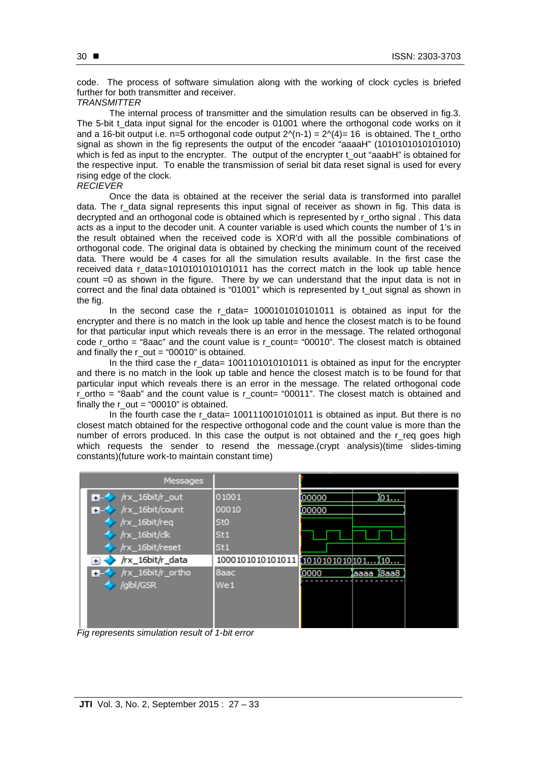code. The process of software simulation along with the working of clock cycles is briefed further for both transmitter and receiver.

#### *TRANSMITTER*

The internal process of transmitter and the simulation results can be observed in fig.3. The 5-bit t\_data input signal for the encoder is 01001 where the orthogonal code works on it and a 16-bit output i.e. n=5 orthogonal code output  $2^N(n-1) = 2^N(4) = 16$  is obtained. The t\_ortho signal as shown in the fig represents the output of the encoder "aaaaH" (101010101010101010) which is fed as input to the encrypter. The output of the encrypter t out "aaabH" is obtained for the respective input. To enable the transmission of serial bit data reset signal is used for every rising edge of the clock.

#### *RECIEVER*

Once the data is obtained at the receiver the serial data is transformed into parallel data. The r data signal represents this input signal of receiver as shown in fig. This data is decrypted and an orthogonal code is obtained which is represented by r\_ortho signal . This data acts as a input to the decoder unit. A counter variable is used which counts the number of 1's in the result obtained when the received code is XOR'd with all the possible combinations of orthogonal code. The original data is obtained by checking the minimum count of the received data. There would be 4 cases for all the simulation results available. In the first case the received data r data=1010101010101011 has the correct match in the look up table hence count =0 as shown in the figure. There by we can understand that the input data is not in correct and the final data obtained is "01001" which is represented by t\_out signal as shown in the fig.

In the second case the r\_data= 1000101010101011 is obtained as input for the encrypter and there is no match in the look up table and hence the closest match is to be found for that particular input which reveals there is an error in the message. The related orthogonal code r\_ortho = "8aac" and the count value is r\_count= "00010". The closest match is obtained and finally the  $r$  out = "00010" is obtained.

In the third case the r\_data=  $1001101010101011$  is obtained as input for the encrypter and there is no match in the look up table and hence the closest match is to be found for that particular input which reveals there is an error in the message. The related orthogonal code r\_ortho = "8aab" and the count value is r\_count= "00011". The closest match is obtained and finally the  $r$  out = "00010" is obtained.

In the fourth case the  $r_{data} = 1001110010101011$  is obtained as input. But there is no closest match obtained for the respective orthogonal code and the count value is more than the number of errors produced. In this case the output is not obtained and the r\_req goes high which requests the sender to resend the message.(crypt analysis)(time slides-timing constants)(future work-to maintain constant time)

| Messages                          |                  |                        |
|-----------------------------------|------------------|------------------------|
| /rx_16bit/r_out<br>$+ - \circ$    | 01001            | 01<br>00000            |
| $\rightarrow$ /rx_16bit/count     | 00010            | 00000                  |
| /rx_16bit/req                     | St <sub>0</sub>  |                        |
| /rx_16bit/clk                     | St <sub>1</sub>  |                        |
| /rx_16bit/reset                   | St <sub>1</sub>  |                        |
| /rx_16bit/r_data<br>$\ddot{}$     | 1000101010101011 | $1010101010101$ $10$   |
| /rx_16bit/r_ortho<br>$\mathbf{H}$ | 8aac             | 0000<br>18aa8<br>laaaa |
| $\frac{1}{2}$ /glbl/GSR           | We1              |                        |
|                                   |                  |                        |
|                                   |                  |                        |
|                                   |                  |                        |

*Fig represents simulation result of 1-bit error*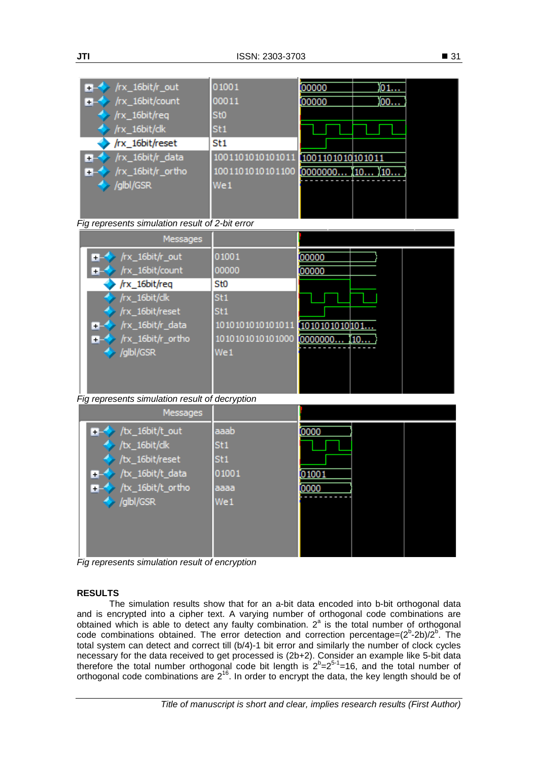| /rx_16bit/r_out<br>œ        | 01001            | 00000            | 01  |
|-----------------------------|------------------|------------------|-----|
| /rx_16bit/count<br><b>T</b> | 00011            | 00000            | 100 |
| $/rx_16bit/req$             | St <sub>0</sub>  |                  |     |
| /rx_16bit/dk                | St <sub>1</sub>  |                  |     |
| /rx_16bit/reset             | St <sub>1</sub>  |                  |     |
| /rx_16bit/r_data<br>$+$     | 1001101010101011 | 1001101010101011 |     |
| /rx_16bit/r_ortho<br>$+$    | 1001101010101100 |                  |     |
| $\rightarrow$ /glbl/GSR     | We1              |                  |     |
|                             |                  |                  |     |
|                             |                  |                  |     |

| Fig represents simulation result of 2-bit error |
|-------------------------------------------------|
|-------------------------------------------------|

| Messages                         |                  |               |
|----------------------------------|------------------|---------------|
| /rx_16bit/r_out<br><b>H-6</b>    | 01001            | 00000         |
| $\rightarrow$ /rx_16bit/count    | 00000            | 00000         |
| /rx_16bit/req                    | St <sub>0</sub>  |               |
| /rx_16bit/dk                     | St <sub>1</sub>  |               |
| /rx_16bit/reset                  | St <sub>1</sub>  |               |
| $\rightarrow$ /rx_16bit/r_data   | 1010101010101011 | 1010101010101 |
| $\blacksquare$ /rx_16bit/r_ortho | 1010101010101000 | [0000000      |
| /glbl/GSR                        | We1              |               |
|                                  |                  |               |
|                                  |                  |               |

*Fig represents simulation result of decryption*

| Messages                                                           |                         |       |
|--------------------------------------------------------------------|-------------------------|-------|
| $\rightarrow$ /tx_16bit/t_out<br>$\frac{1}{2}$ /tx_16bit/dk        | aaab<br>St <sub>1</sub> | 0000  |
| $\rightarrow$ /tx_16bit/reset<br>BL◆ /tx_16bit/t_data              | St1<br>01001            | 01001 |
| $\blacktriangleright$ /tx_16bit/t_ortho<br>$\rightarrow$ /glbl/GSR | aaaa<br>We1             | 0000  |
|                                                                    |                         |       |
|                                                                    |                         |       |

*Fig represents simulation result of encryption*

### **RESULTS**

The simulation results show that for an a-bit data encoded into b-bit orthogonal data and is encrypted into a cipher text. A varying number of orthogonal code combinations are obtained which is able to detect any faulty combination.  $2^a$  is the total number of orthogonal code combinations obtained. The error detection and correction percentage= $(2^{b}$ -2b)/ $2^{b}$ . The total system can detect and correct till (b/4)-1 bit error and similarly the number of clock cycles necessary for the data received to get processed is (2b+2). Consider an example like 5-bit data therefore the total number orthogonal code bit length is  $2^{b}=2^{5-1}=16$ , and the total number of orthogonal code combinations are  $2^{16}$ . In order to encrypt the data, the key length should be of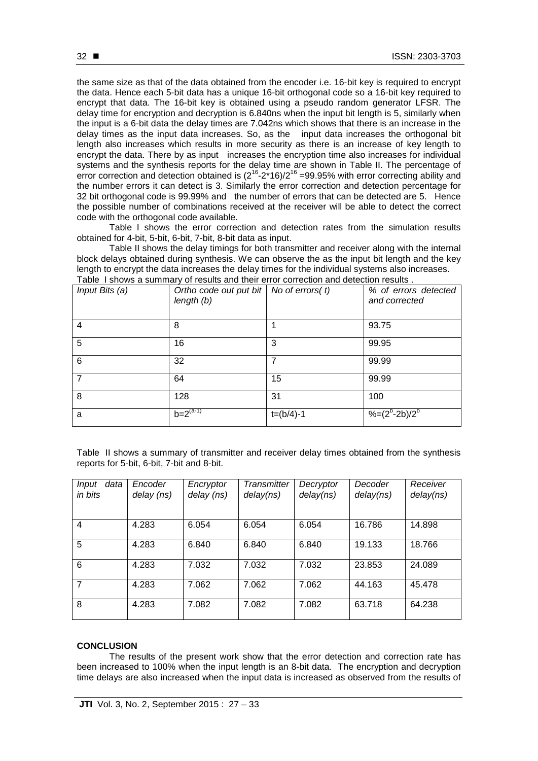the same size as that of the data obtained from the encoder i.e. 16-bit key is required to encrypt the data. Hence each 5-bit data has a unique 16-bit orthogonal code so a 16-bit key required to encrypt that data. The 16-bit key is obtained using a pseudo random generator LFSR. The delay time for encryption and decryption is 6.840ns when the input bit length is 5, similarly when the input is a 6-bit data the delay times are 7.042ns which shows that there is an increase in the delay times as the input data increases. So, as the input data increases the orthogonal bit length also increases which results in more security as there is an increase of key length to encrypt the data. There by as input increases the encryption time also increases for individual systems and the synthesis reports for the delay time are shown in Table II. The percentage of error correction and detection obtained is  $(2^{16}-2*16)/2^{16}$  =99.95% with error correcting ability and the number errors it can detect is 3. Similarly the error correction and detection percentage for 32 bit orthogonal code is 99.99% and the number of errors that can be detected are 5. Hence the possible number of combinations received at the receiver will be able to detect the correct code with the orthogonal code available.

Table I shows the error correction and detection rates from the simulation results obtained for 4-bit, 5-bit, 6-bit, 7-bit, 8-bit data as input.

Table II shows the delay timings for both transmitter and receiver along with the internal block delays obtained during synthesis. We can observe the as the input bit length and the key length to encrypt the data increases the delay times for the individual systems also increases. Table I shows a summary of results and their error correction and detection results .

| Input Bits (a) | Ortho code out put bit   No of errors( $t$ )<br>length (b) |             | % of errors detected<br>and corrected |
|----------------|------------------------------------------------------------|-------------|---------------------------------------|
| 4              | 8                                                          |             | 93.75                                 |
| 5              | 16                                                         | 3           | 99.95                                 |
| 6              | 32                                                         | 7           | 99.99                                 |
| 7              | 64                                                         | 15          | 99.99                                 |
| 8              | 128                                                        | 31          | 100                                   |
| a              | $b = 2^{(a-1)}$                                            | $t=(b/4)-1$ | $%=(2^{b}-2b)/2^{b}$                  |

Table II shows a summary of transmitter and receiver delay times obtained from the synthesis reports for 5-bit, 6-bit, 7-bit and 8-bit.

| data<br>Input<br>in bits | Encoder<br>delay (ns) | Encryptor<br>delay (ns) | Transmitter<br>delay(ns) | Decryptor<br>delay(ns) | Decoder<br>delay(ns) | Receiver<br>delay(ns) |
|--------------------------|-----------------------|-------------------------|--------------------------|------------------------|----------------------|-----------------------|
|                          |                       |                         |                          |                        |                      |                       |
| $\overline{4}$           | 4.283                 | 6.054                   | 6.054                    | 6.054                  | 16.786               | 14.898                |
| 5                        | 4.283                 | 6.840                   | 6.840                    | 6.840                  | 19.133               | 18.766                |
| 6                        | 4.283                 | 7.032                   | 7.032                    | 7.032                  | 23.853               | 24.089                |
| $\overline{7}$           | 4.283                 | 7.062                   | 7.062                    | 7.062                  | 44.163               | 45.478                |
| 8                        | 4.283                 | 7.082                   | 7.082                    | 7.082                  | 63.718               | 64.238                |

#### **CONCLUSION**

The results of the present work show that the error detection and correction rate has been increased to 100% when the input length is an 8-bit data. The encryption and decryption time delays are also increased when the input data is increased as observed from the results of